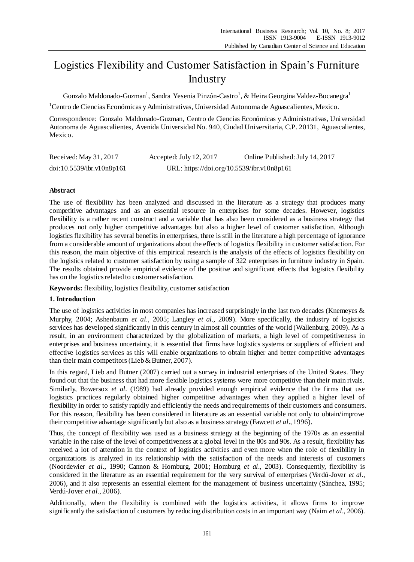# Logistics Flexibility and Customer Satisfaction in Spain's Furniture Industry

Gonzalo Maldonado-Guzman $^1$ , Sandra Yesenia Pinzón-Castro $^1$ , & Heira Georgina Valdez-Bocanegra $^1$ 

<sup>1</sup> Centro de Ciencias Económicas y Administrativas, Universidad Autonoma de Aguascalientes, Mexico.

Correspondence: Gonzalo Maldonado-Guzman, Centro de Ciencias Económicas y Administrativas, Universidad Autonoma de Aguascalientes, Avenida Universidad No. 940, Ciudad Universitaria, C.P. 20131, Aguascalientes, Mexico.

| Received: May 31, 2017    | Accepted: July $12, 2017$                  | Online Published: July 14, 2017 |
|---------------------------|--------------------------------------------|---------------------------------|
| doi:10.5539/ibr.v10n8p161 | URL: https://doi.org/10.5539/ibr.v10n8p161 |                                 |

# **Abstract**

The use of flexibility has been analyzed and discussed in the literature as a strategy that produces many competitive advantages and as an essential resource in enterprises for some decades. However, logistics flexibility is a rather recent construct and a variable that has also been considered as a business strategy that produces not only higher competitive advantages but also a higher level of customer satisfaction. Although logistics flexibility has several benefits in enterprises, there is still in the literature a high percentage of ignorance from a considerable amount of organizations about the effects of logistics flexibility in customer satisfaction. For this reason, the main objective of this empirical research is the analysis of the effects of logistics flexibility on the logistics related to customer satisfaction by using a sample of 322 enterprises in furniture industry in Spain. The results obtained provide empirical evidence of the positive and significant effects that logistics flexibility has on the logistics related to customer satisfaction.

**Keywords:** flexibility, logistics flexibility, customer satisfaction

# **1. Introduction**

The use of logistics activities in most companies has increased surprisingly in the last two decades (Knemeyes & Murphy, 2004; Ashenbaum *et al.*, 2005; Langley *et al.*, 2009). More specifically, the industry of logistics services has developed significantly in this century in almost all countries of the world (Wallenburg, 2009). As a result, in an environment characterized by the globalization of markets, a high level of competitiveness in enterprises and business uncertainty, it is essential that firms have logistics systems or suppliers of efficient and effective logistics services as this will enable organizations to obtain higher and better competitive advantages than their main competitors (Lieb & Butner, 2007).

In this regard, Lieb and Butner (2007) carried out a survey in industrial enterprises of the United States. They found out that the business that had more flexible logistics systems were more competitive than their main rivals. Similarly, Bowersox *et al*. (1989) had already provided enough empirical evidence that the firms that use logistics practices regularly obtained higher competitive advantages when they applied a higher level of flexibility in order to satisfy rapidly and efficiently the needs and requirements of their customers and consumers. For this reason, flexibility has been considered in literature as an essential variable not only to obtain/improve their competitive advantage significantly but also as a business strategy (Fawcett *et al*., 1996).

Thus, the concept of flexibility was used as a business strategy at the beginning of the 1970s as an essential variable in the raise of the level of competitiveness at a global level in the 80s and 90s. As a result, flexibility has received a lot of attention in the context of logistics activities and even more when the role of flexibility in organizations is analyzed in its relationship with the satisfaction of the needs and interests of customers (Noordewier *et al*., 1990; Cannon & Homburg, 2001; Homburg *et al*., 2003). Consequently, flexibility is considered in the literature as an essential requirement for the very survival of enterprises (Verdú-Jover *et al*., 2006), and it also represents an essential element for the management of business uncertainty (Sánchez, 1995; Verdú-Jover *et al*., 2006).

Additionally, when the flexibility is combined with the logistics activities, it allows firms to improve significantly the satisfaction of customers by reducing distribution costs in an important way (Naim *et al*., 2006).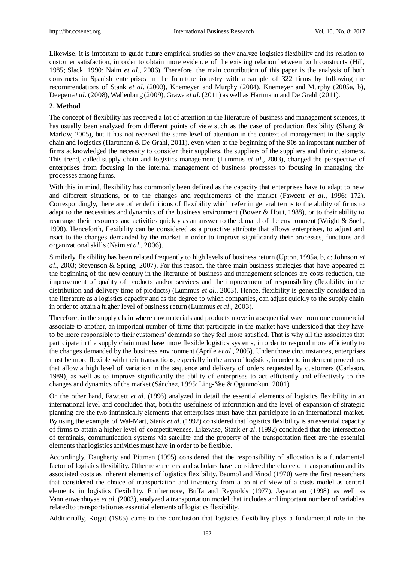Likewise, it is important to guide future empirical studies so they analyze logistics flexibility and its relation to customer satisfaction, in order to obtain more evidence of the existing relation between both constructs (Hill, 1985; Slack, 1990; Naim *et al*., 2006). Therefore, the main contribution of this paper is the analysis of both constructs in Spanish enterprises in the furniture industry with a sample of 322 firms by following the recommendations of Stank *et al*. (2003), Knemeyer and Murphy (2004), Knemeyer and Murphy (2005a, b), Deepen *et al*. (2008), Wallenburg (2009), Grawe *et al*. (2011) as well as Hartmann and De Grahl (2011).

#### **2. Method**

The concept of flexibility has received a lot of attention in the literature of business and management sciences, it has usually been analyzed from different points of view such as the case of production flexibility (Shang & Marlow, 2005), but it has not received the same level of attention in the context of management in the supply chain and logistics (Hartmann & De Grahl, 2011), even when at the beginning of the 90s an important number of firms acknowledged the necessity to consider their suppliers, the suppliers of the suppliers and their customers. This trend, called supply chain and logistics management (Lummus *et al*., 2003), changed the perspective of enterprises from focusing in the internal management of business processes to focusing in managing the processes among firms.

With this in mind, flexibility has commonly been defined as the capacity that enterprises have to adapt to new and different situations, or to the changes and requirements of the market (Fawcett *et al*., 1996: 172). Correspondingly, there are other definitions of flexibility which refer in general terms to the ability of firms to adapt to the necessities and dynamics of the business environment (Bower & Hout, 1988), or to their ability to rearrange their resources and activities quickly as an answer to the demand of the environment (Wright & Snell, 1998). Henceforth, flexibility can be considered as a proactive attribute that allows enterprises, to adjust and react to the changes demanded by the market in order to improve significantly their processes, functions and organizational skills (Naim *et al*., 2006).

Similarly, flexibility has been related frequently to high levels of business return (Upton, 1995a, b, c; Johnson *et al*., 2003; Stevenson & Spring, 2007). For this reason, the three main business strategies that have appeared at the beginning of the new century in the literature of business and management sciences are costs reduction, the improvement of quality of products and/or services and the improvement of responsibility (flexibility in the distribution and delivery time of products) (Lummus *et al*., 2003). Hence, flexibility is generally considered in the literature as a logistics capacity and as the degree to which companies, can adjust quickly to the supply chain in order to attain a higher level of business return (Lummus *et al*., 2003).

Therefore, in the supply chain where raw materials and products move in a sequential way from one commercial associate to another, an important number of firms that participate in the market have understood that they have to be more responsible to their customers' demands so they feel more satisfied. That is why all the associates that participate in the supply chain must have more flexible logistics systems, in order to respond more efficiently to the changes demanded by the business environment (Aprile *et al*., 2005). Under those circumstances, enterprises must be more flexible with their transactions, especially in the area of logistics, in order to implement procedures that allow a high level of variation in the sequence and delivery of orders requested by customers (Carlsson, 1989), as well as to improve significantly the ability of enterprises to act efficiently and effectively to the changes and dynamics of the market (Sánchez, 1995; Ling-Yee & Ogunmokun, 2001).

On the other hand, Fawcett *et al*. (1996) analyzed in detail the essential elements of logistics flexibility in an international level and concluded that, both the usefulness of information and the level of expansion of strategic planning are the two intrinsically elements that enterprises must have that participate in an international market. By using the example of Wal-Mart, Stank *et al*. (1992) considered that logistics flexibility is an essential capacity of firms to attain a higher level of competitiveness. Likewise, Stank *et al*. (1992) concluded that the intersection of terminals, communication systems via satellite and the property of the transportation fleet are the essential elements that logistics activities must have in order to be flexible.

Accordingly, Daugherty and Pittman (1995) considered that the responsibility of allocation is a fundamental factor of logistics flexibility. Other researchers and scholars have considered the choice of transportation and its associated costs as inherent elements of logistics flexibility. Baumol and Vinod (1970) were the first researchers that considered the choice of transportation and inventory from a point of view of a costs model as central elements in logistics flexibility. Furthermore, Buffa and Reynolds (1977), Jayaraman (1998) as well as Vannieuwenhuyse *et al*. (2003), analyzed a transportation model that includes and important number of variables related to transportation as essential elements of logistics flexibility.

Additionally, Kogut (1985) came to the conclusion that logistics flexibility plays a fundamental role in the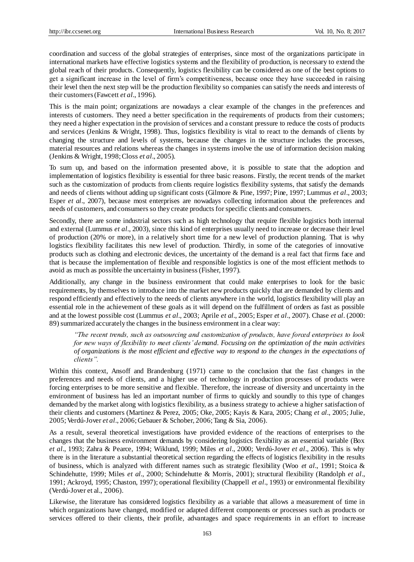coordination and success of the global strategies of enterprises, since most of the organizations participate in international markets have effective logistics systems and the flexibility of production, is necessary to extend the global reach of their products. Consequently, logistics flexibility can be considered as one of the best options to get a significant increase in the level of firm's competitiveness, because once they have succeeded in raising their level then the next step will be the production flexibility so companies can satisfy the needs and interests of their customers (Fawcett *et al*., 1996).

This is the main point; organizations are nowadays a clear example of the changes in the preferences and interests of customers. They need a better specification in the requirements of products from their customers; they need a higher expectation in the provision of services and a constant pressure to reduce the costs of products and services (Jenkins & Wright, 1998). Thus, logistics flexibility is vital to react to the demands of clients by changing the structure and levels of systems, because the changes in the structure includes the processes, material resources and relations whereas the changes in systems involve the use of information decision making (Jenkins & Wright, 1998; Closs *et al*., 2005).

To sum up, and based on the information presented above, it is possible to state that the adoption and implementation of logistics flexibility is essential for three basic reasons. Firstly, the recent trends of the market such as the customization of products from clients require logistics flexibility systems, that satisfy the demands and needs of clients without adding up significant costs (Gilmore & Pine, 1997; Pine, 1997; Lummus *et al*., 2003; Esper *et al*., 2007), because most enterprises are nowadays collecting information about the preferences and needs of customers, and consumers so they create products for specific clients and consumers.

Secondly, there are some industrial sectors such as high technology that require flexible logistics both internal and external (Lummus *et al*., 2003), since this kind of enterprises usually need to increase or decrease their level of production (20% or more), in a relatively short time for a new level of production planning. That is why logistics flexibility facilitates this new level of production. Thirdly, in some of the categories of innovative products such as clothing and electronic devices, the uncertainty of the demand is a real fact that firms face and that is because the implementation of flexible and responsible logistics is one of the most efficient methods to avoid as much as possible the uncertainty in business (Fisher, 1997).

Additionally, any change in the business environment that could make enterprises to look for the basic requirements, by themselves to introduce into the market new products quickly that are demanded by clients and respond efficiently and effectively to the needs of clients anywhere in the world, logistics flexibility will play an essential role in the achievement of these goals as it will depend on the fulfillment of orders as fast as possible and at the lowest possible cost (Lummus *et al*., 2003; Aprile *et al*., 2005; Esper *et al*., 2007). Chase *et al*. (2000: 89) summarized accurately the changes in the business environment in a clear way:

*"The recent trends, such as outsourcing and customization of products, have forced enterprises to look for new ways of flexibility to meet clients' demand. Focusing on the optimization of the main activities of organizations is the most efficient and effective way to respond to the changes in the expectations of clients".*

Within this context, Ansoff and Brandenburg (1971) came to the conclusion that the fast changes in the preferences and needs of clients, and a higher use of technology in production processes of products were forcing enterprises to be more sensitive and flexible. Therefore, the increase of diversity and uncertainty in the environment of business has led an important number of firms to quickly and soundly to this type of changes demanded by the market along with logistics flexibility, as a business strategy to achieve a higher satisfaction of their clients and customers (Martinez & Perez, 2005; Oke, 2005; Kayis & Kara, 2005; Chang *et al*., 2005; Julie, 2005; Verdú-Jover *et al*., 2006; Gebauer & Schober, 2006; Tang & Sia, 2006).

As a result, several theoretical investigations have provided evidence of the reactions of enterprises to the changes that the business environment demands by considering logistics flexibility as an essential variable (Box *et al*., 1993; Zahra & Pearce, 1994; Wiklund, 1999; Miles *et al*., 2000; Verdú-Jover *et al*., 2006). This is why there is in the literature a substantial theoretical section regarding the effects of logistics flexibility in the results of business, which is analyzed with different names such as strategic flexibility (Woo *et al*., 1991; Stoica & Schindehutte, 1999; Miles *et al*., 2000; Schindehutte & Morris, 2001); structural flexibility (Randolph *et al*., 1991; Ackroyd, 1995; Chaston, 1997); operational flexibility (Chappell *et al*., 1993) or environmental flexibility (Verdú-Jover et al., 2006).

Likewise, the literature has considered logistics flexibility as a variable that allows a measurement of time in which organizations have changed, modified or adapted different components or processes such as products or services offered to their clients, their profile, advantages and space requirements in an effort to increase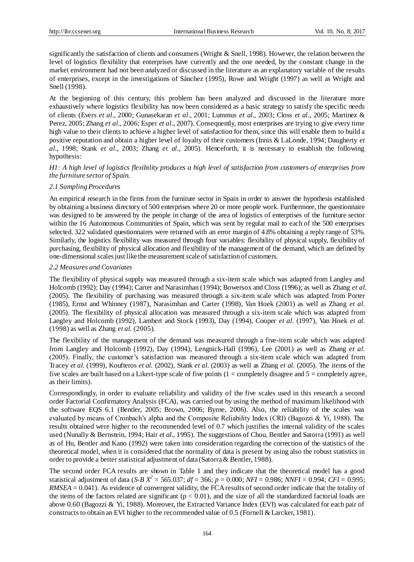significantly the satisfaction of clients and consumers (Wright  $&$  Snell, 1998). However, the relation between the level of logistics flexibility that enterprises have currently and the one needed, by the constant change in the market environment had not been analyzed or discussed in the literature as an explanatory variable of the results of enterprises, except in the investigations of Sánchez (1995), Rowe and Wright (1997) as well as Wright and Snell (1998).

At the beginning of this century, this problem has been analyzed and discussed in the literature more exhaustively where logistics flexibility has now been considered as a basic strategy to satisfy the specific needs of clients (Evers *et al*., 2000; Gunasekaran *et al*., 2001; Lummus *et al*., 2003; Closs *et al*., 2005; Martinez & Perez, 2005; Zhang *et al*., 2006; Esper *et al*., 2007). Consequently, most enterprises are trying to give every time high value to their clients to achieve a higher level of satisfaction for them, since this will enable them to build a positive reputation and obtain a higher level of loyalty of their customers (Innis & LaLonde, 1994; Daugherty *et al*., 1998; Stank *et al*., 2003; Zhang *et al*., 2005). Henceforth, it is necessary to establish the following hypothesis:

## *H1: A high level of logistics flexibility produces a high level of satisfaction from customers of enterprises from the furniture sector of Spain.*

## *2.1 Sampling Procedures*

An empirical research in the firms from the furniture sector in Spain in order to answer the hypothesis established by obtaining a business directory of 500 enterprises where 20 or more people work. Furthermore, the questionnaire was designed to be answered by the people in charge of the area of logistics of enterprises of the furniture sector within the 16 Autonomous Communities of Spain, which was sent by regular mail to each of the 500 enterprises selected. 322 validated questionnaires were returned with an error margin of 4.8% obtaining a reply range of 53%. Similarly, the logistics flexibility was measured through four variables: flexibility of physical supply, flexibility of purchasing, flexibility of physical allocation and flexibility of the management of the demand, which are defined by one-dimensional scales just like the measurement scale of satisfaction of customers.

## *2.2 Measures and Covariates*

The flexibility of physical supply was measured through a six-item scale which was adapted from Langley and Holcomb (1992); Day (1994); Carter and Narasimhan (1994); Bowersox and Closs (1996); as well as Zhang *et al.* (2005). The flexibility of purchasing was measured through a six-item scale which was adapted from Porter (1985), Ernst and Whinney (1987), Narasimhan and Carter (1998), Van Hoek (2001) as well as Zhang *et al.* (2005). The flexibility of physical allocation was measured through a six-item scale which was adapted from Langley and Holcomb (1992), Lambert and Stock (1993), Day (1994), Cooper *et al.* (1997), Van Hoek *et al.* (1998) as well as Zhang *et al.* (2005).

The flexibility of the management of the demand was measured through a five-item scale which was adapted from Langley and Holcomb (1992), Day (1994), Lengnick-Hall (1996), Lee (2001) as well as Zhang *et al.* (2005). Finally, the customer's satisfaction was measured through a six-item scale which was adapted from Tracey *et al.* (1999), Koufteros *et al.* (2002), Stank *et al.* (2003) as well as Zhang *et al.* (2005). The items of the five scales are built based on a Likert-type scale of five points  $(1 = \text{completely disagree and } 5 = \text{completely agree})$ as their limits).

Correspondingly, in order to evaluate reliability and validity of the five scales used in this research a second order Factorial Confirmatory Analysis (FCA), was carried out by using the method of maximum likelihood with the software EQS 6.1 (Bentler, 2005; Brown, 2006; Byrne, 2006). Also, the reliability of the scales was evaluated by means of Cronbach's alpha and the Composite Reliability Index (CRI) (Bagozzi & Yi, 1988). The results obtained were higher to the recommended level of 0.7 which justifies the internal validity of the scales used (Nunally & Bernstein, 1994; Hair *et al*., 1995). The suggestions of Chou, Bentler and Satorra (1991) as well as of Hu, Bentler and Kano (1992) were taken into consideration regarding the correction of the statistics of the theoretical model, when it is considered that the normality of data is present by using also the robust statistics in order to provide a better statistical adjustment of data (Satorra & Bentler, 1988).

The second order FCA results are shown in Table 1 and they indicate that the theoretical model has a good statistical adjustment of data (*S-B X*<sup>2</sup> = 565.037; *df* = 366; *p* = 0.000; *NFI* = 0.986; *NNFI* = 0.994; *CFI* = 0.995; *RMSEA* = 0.041). As evidence of convergent validity, the FCA results of second order indicate that the totality of the items of the factors related are significant ( $p < 0.01$ ), and the size of all the standardized factorial loads are above 0.60 (Bagozzi & Yi, 1988). Moreover, the Extracted Variance Index (EVI) was calculated for each pair of constructs to obtain an EVI higher to the recommended value of 0.5 (Fornell & Larcker, 1981).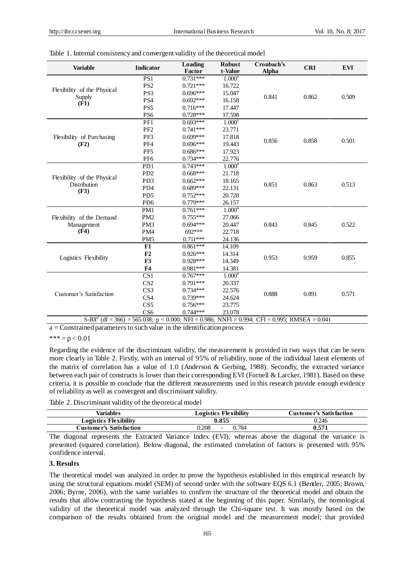| <b>Variable</b>                                                                                | <b>Indicator</b> | Loading<br>Factor | <b>Robust</b><br>t-Value | Cronbach's<br><b>Alpha</b> | <b>CRI</b> | <b>EVI</b> |
|------------------------------------------------------------------------------------------------|------------------|-------------------|--------------------------|----------------------------|------------|------------|
| Flexibility of the Physical                                                                    | PS1              | $0.731***$        | 1.000 <sup>a</sup>       |                            |            |            |
|                                                                                                | PS <sub>2</sub>  | $0.721***$        | 16.722                   |                            |            |            |
|                                                                                                | PS3              | $0.696***$        | 15.047                   |                            |            |            |
| Supply                                                                                         | PS4              | $0.692***$        | 16.158                   | 0.841                      | 0.862      | 0.509      |
| (F1)                                                                                           | PS5              | $0.716***$        | 17.447                   |                            |            |            |
|                                                                                                | PS6              | $0.728***$        | 17.598                   |                            |            |            |
|                                                                                                | PF1              | $0.693***$        | 1.000 <sup>a</sup>       |                            |            |            |
|                                                                                                | PF <sub>2</sub>  | $0.741***$        | 23.771                   |                            |            |            |
| Flexibility of Purchasing                                                                      | PF3              | $0.699***$        | 17.818                   |                            |            |            |
| (F2)                                                                                           | PF <sub>4</sub>  | $0.696***$        | 19.443                   | 0.856                      | 0.858      | 0.501      |
|                                                                                                | PF <sub>5</sub>  | $0.686***$        | 17.923                   |                            |            |            |
|                                                                                                | PF <sub>6</sub>  | $0.734***$        | 22.776                   |                            |            |            |
|                                                                                                | PD1              | $0.743***$        | 1.000 <sup>a</sup>       |                            |            |            |
|                                                                                                | PD <sub>2</sub>  | $0.668***$        | 21.718                   |                            |            |            |
| Flexibility of the Physical                                                                    | PD3              | $0.662***$        | 18.165                   |                            |            |            |
| Distribution                                                                                   | PD4              | $0.689***$        | 22.131                   | 0.851                      | 0.863      | 0.513      |
| (F3)                                                                                           | PD5              | $0.752***$        | 20.728                   |                            |            |            |
|                                                                                                | PD <sub>6</sub>  | $0.779***$        | 26.157                   |                            |            |            |
|                                                                                                | PM1              | $0.761***$        | 1.000 <sup>a</sup>       |                            |            |            |
| Flexibility of the Demand                                                                      | PM <sub>2</sub>  | $0.755***$        | 27.066                   |                            |            |            |
| Management                                                                                     | PM3              | $0.694***$        | 20.447                   | 0.843                      | 0.845      | 0.522      |
| (F4)                                                                                           | PM4              | 692***            | 22.718                   |                            |            |            |
|                                                                                                | PM <sub>5</sub>  | $0.711***$        | 24.136                   |                            |            |            |
|                                                                                                | F1               | $0.861***$        | 14.109                   |                            |            |            |
| Logistics Flexibility                                                                          | F2               | $0.926***$        | 14.314                   | 0.953                      |            |            |
|                                                                                                | F3               | $0.928***$        | 14.349                   |                            | 0.959      | 0.855      |
|                                                                                                | F <sub>4</sub>   | $0.981***$        | 14.381                   |                            |            |            |
| Customer's Satisfaction                                                                        | CS1              | $0.767***$        | 1.000 <sup>a</sup>       |                            |            |            |
|                                                                                                | CS <sub>2</sub>  | $0.791***$        | 20.337                   |                            |            |            |
|                                                                                                | CS <sub>3</sub>  | $0.734***$        | 22.576                   |                            |            |            |
|                                                                                                | CS4              | $0.739***$        | 24.624                   | 0.891<br>0.888             |            | 0.571      |
|                                                                                                | CS5              | $0.756***$        | 23.775                   |                            |            |            |
|                                                                                                | CS <sub>6</sub>  | $0.744***$        | 23.078                   |                            |            |            |
| $S-BX2$ (df = 366) = 565.038; p < 0.000; NFI = 0.986; NNFI = 0.994; CFI = 0.995; RMSEA = 0.041 |                  |                   |                          |                            |            |            |

Table 1. Internal consistency and convergent validity of the theoretical model

a = Constrained parameters to such value in the identification process

 $*** = p < 0.01$ 

Regarding the evidence of the discriminant validity, the measurement is provided in two ways that can be seen more clearly in Table 2. Firstly, with an interval of 95% of reliability, none of the individual latent elements of the matrix of correlation has a value of 1.0 (Anderson & Gerbing, 1988). Secondly, the extracted variance between each pair of constructs is lower than their corresponding EVI (Fornell & Larcker, 1981). Based on these criteria, it is possible to conclude that the different measurements used in this research provide enough evidence of reliability as well as convergent and discriminant validity.

Table 2. Discriminant validity of the theoretical model

| Variables                      | Logistics Flexibility | <b>Customer's Satisfaction</b> |  |
|--------------------------------|-----------------------|--------------------------------|--|
| <b>Logistics Flexibility</b>   | 0.855                 | 0.246                          |  |
| <b>Customer's Satisfaction</b> | 0.208<br>0.784        | 0.571                          |  |

The diagonal represents the Extracted Variance Index (EVI), whereas above the diagonal the variance is presented (squared correlation). Below diagonal, the estimated correlation of factors is presented with 95% confidence interval.

#### **3. Results**

The theoretical model was analyzed in order to prove the hypothesis established in this empirical research by using the structural equations model (SEM) of second order with the software EQS 6.1 (Bentler, 2005; Brown, 2006; Byrne, 2006), with the same variables to confirm the structure of the theoretical model and obtain the results that allow contrasting the hypothesis stated at the beginning of this paper. Similarly, the nomological validity of the theoretical model was analyzed through the Chi-square test. It was mostly based on the comparison of the results obtained from the original model and the measurement model; that provided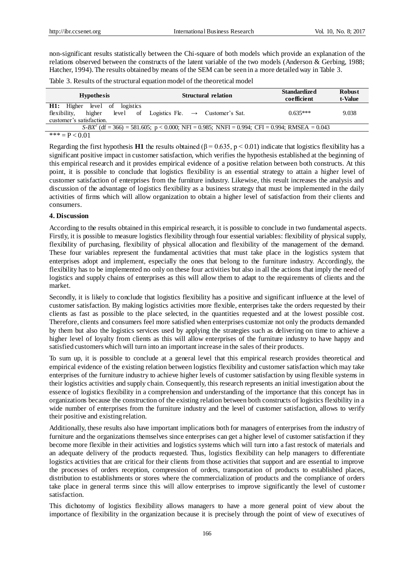non-significant results statistically between the Chi-square of both models which provide an explanation of the relations observed between the constructs of the latent variable of the two models (Anderson & Gerbing, 1988; Hatcher, 1994). The results obtained by means of the SEM can be seen in a more detailed way in Table 3.

| Table 3. Results of the structural equation model of the theoretical model |  |  |  |  |  |
|----------------------------------------------------------------------------|--|--|--|--|--|
|----------------------------------------------------------------------------|--|--|--|--|--|

| <b>Hypothesis</b>                                                                               | <b>Structural relation</b>                                   | <b>Standardized</b><br>coefficient | <b>Robust</b><br>t-Value |  |
|-------------------------------------------------------------------------------------------------|--------------------------------------------------------------|------------------------------------|--------------------------|--|
| <b>H1:</b> Higher level of logistics<br>flexibility,<br>customer's satisfaction.                | higher level of Logistics Fle. $\rightarrow$ Customer's Sat. | $0.635***$                         | 9.038                    |  |
| $S-BX^2$ (df = 366) = 581.605; p < 0.000; NFI = 0.985; NNFI = 0.994; CFI = 0.994; RMSEA = 0.043 |                                                              |                                    |                          |  |
| $*** = P < 0.01$                                                                                |                                                              |                                    |                          |  |

Regarding the first hypothesis **H1** the results obtained ( $\beta$  = 0.635, p < 0.01) indicate that logistics flexibility has a significant positive impact in customer satisfaction, which verifies the hypothesis established at the beginning of this empirical research and it provides empirical evidence of a positive relation between both constructs. At this point, it is possible to conclude that logistics flexibility is an essential strategy to attain a higher level of customer satisfaction of enterprises from the furniture industry. Likewise, this result increases the analysis and discussion of the advantage of logistics flexibility as a business strategy that must be implemented in the daily activities of firms which will allow organization to obtain a higher level of satisfaction from their clients and consumers.

### **4. Discussion**

According to the results obtained in this empirical research, it is possible to conclude in two fundamental aspects. Firstly, it is possible to measure logistics flexibility through four essential variables: flexibility of physical supply, flexibility of purchasing, flexibility of physical allocation and flexibility of the management of the demand. These four variables represent the fundamental activities that must take place in the logistics system that enterprises adopt and implement, especially the ones that belong to the furniture industry. Accordingly, the flexibility has to be implemented no only on these four activities but also in all the actions that imply the need of logistics and supply chains of enterprises as this will allow them to adapt to the requirements of clients and the market.

Secondly, it is likely to conclude that logistics flexibility has a positive and significant influence at the level of customer satisfaction. By making logistics activities more flexible, enterprises take the orders requested by their clients as fast as possible to the place selected, in the quantities requested and at the lowest possible cost. Therefore, clients and consumers feel more satisfied when enterprises customize not only the products demanded by them but also the logistics services used by applying the strategies such as delivering on time to achieve a higher level of loyalty from clients as this will allow enterprises of the furniture industry to have happy and satisfied customers which will turn into an important increase in the sales of their products.

To sum up, it is possible to conclude at a general level that this empirical research provides theoretical and empirical evidence of the existing relation between logistics flexibility and customer satisfaction which may take enterprises of the furniture industry to achieve higher levels of customer satisfaction by using flexible systems in their logistics activities and supply chain. Consequently, this research represents an initial investigation about the essence of logistics flexibility in a comprehension and understanding of the importance that this concept has in organizations because the construction of the existing relation between both constructs of logistics flexibility in a wide number of enterprises from the furniture industry and the level of customer satisfaction, allows to verify their positive and existing relation.

Additionally, these results also have important implications both for managers of enterprises from the industry of furniture and the organizations themselves since enterprises can get a higher level of customer satisfaction if they become more flexible in their activities and logistics systems which will turn into a fast restock of materials and an adequate delivery of the products requested. Thus, logistics flexibility can help managers to differentiate logistics activities that are critical for their clients from those activities that support and are essential to improve the processes of orders reception, compression of orders, transportation of products to established places, distribution to establishments or stores where the commercialization of products and the compliance of orders take place in general terms since this will allow enterprises to improve significantly the level of custome r satisfaction.

This dichotomy of logistics flexibility allows managers to have a more general point of view about the importance of flexibility in the organization because it is precisely through the point of view of executives of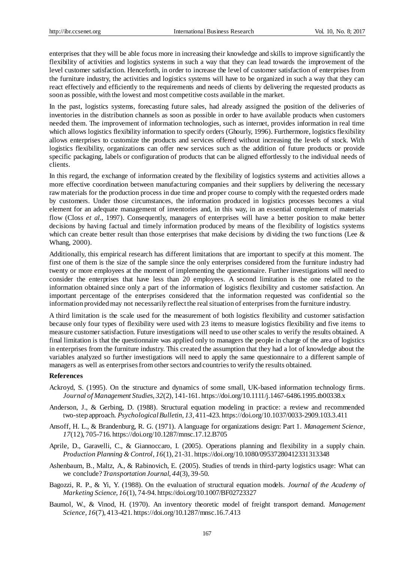enterprises that they will be able focus more in increasing their knowledge and skills to improve significantly the flexibility of activities and logistics systems in such a way that they can lead towards the improvement of the level customer satisfaction. Henceforth, in order to increase the level of customer satisfaction of enterprises from the furniture industry, the activities and logistics systems will have to be organized in such a way that they can react effectively and efficiently to the requirements and needs of clients by delivering the requested products as soon as possible, with the lowest and most competitive costs available in the market.

In the past, logistics systems, forecasting future sales, had already assigned the position of the deliveries of inventories in the distribution channels as soon as possible in order to have available products when customers needed them. The improvement of information technologies, such as internet, provides information in real time which allows logistics flexibility information to specify orders (Ghourly, 1996). Furthermore, logistics flexibility allows enterprises to customize the products and services offered without increasing the levels of stock. With logistics flexibility, organizations can offer new services such as the addition of future products or provide specific packaging, labels or configuration of products that can be aligned effortlessly to the individual needs of clients.

In this regard, the exchange of information created by the flexibility of logistics systems and activities allows a more effective coordination between manufacturing companies and their suppliers by delivering the necessary raw materials for the production process in due time and proper course to comply with the requested orders made by customers. Under those circumstances, the information produced in logistics processes becomes a vital element for an adequate management of inventories and, in this way, in an essential complement of materials flow (Closs *et al.*, 1997). Consequently, managers of enterprises will have a better position to make better decisions by having factual and timely information produced by means of the flexibility of logistics systems which can create better result than those enterprises that make decisions by dividing the two functions (Lee  $\&$ Whang, 2000).

Additionally, this empirical research has different limitations that are important to specify at this moment. The first one of them is the size of the sample since the only enterprises considered from the furniture industry had twenty or more employees at the moment of implementing the questionnaire. Further investigations will need to consider the enterprises that have less than 20 employees. A second limitation is the one related to the information obtained since only a part of the information of logistics flexibility and customer satisfaction. An important percentage of the enterprises considered that the information requested was confidential so the information provided may not necessarily reflect the real situation of enterprises from the furniture industry.

A third limitation is the scale used for the measurement of both logistics flexibility and customer satisfaction because only four types of flexibility were used with 23 items to measure logistics flexibility and five items to measure customer satisfaction. Future investigations will need to use other scales to verify the results obtained. A final limitation is that the questionnaire was applied only to managers the people in charge of the area of logistics in enterprises from the furniture industry. This created the assumption that they had a lot of knowledge about the variables analyzed so further investigations will need to apply the same questionnaire to a different sample of managers as well as enterprises from other sectors and countries to verify the results obtained.

#### **References**

- Ackroyd, S. (1995). On the structure and dynamics of some small, UK-based information technology firms. *Journal of Management Studies*, *32*(2), 141-161. https://doi.org/10.1111/j.1467-6486.1995.tb00338.x
- Anderson, J., & Gerbing, D. (1988). Structural equation modeling in practice: a review and recommended two-step approach. *Psychological Bulletin*, *13,* 411-423. https://doi.org/10.1037/0033-2909.103.3.411
- Ansoff, H. L., & Brandenburg, R. G. (1971). A language for organizations design: Part 1. *Management Science*, *17*(12), 705-716. https://doi.org/10.1287/mnsc.17.12.B705
- Aprile, D., Garavelli, C., & Giannoccaro, I. (2005). Operations planning and flexibility in a supply chain. *Production Planning & Control*, *16*(1), 21-31. https://doi.org/10.1080/09537280412331313348
- Ashenbaum, B., Maltz, A., & Rabinovich, E. (2005). Studies of trends in third-party logistics usage: What can we conclude? *Transportation Journal*, *44*(3), 39-50.
- Bagozzi, R. P., & Yi, Y. (1988). On the evaluation of structural equation models. *Journal of the Academy of Marketing Science*, *16*(1), 74-94. https://doi.org/10.1007/BF02723327
- Baumol, W., & Vinod, H. (1970). An inventory theoretic model of freight transport demand. *Management Science*, *16*(7), 413-421. https://doi.org/10.1287/mnsc.16.7.413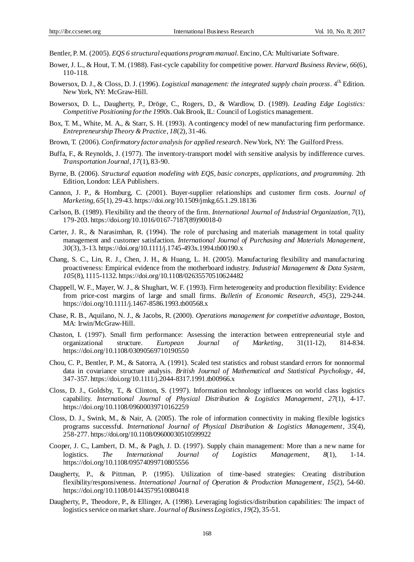Bentler, P. M. (2005). *EQS 6 structural equations program manual*. Encino, CA: Multivariate Software.

- Bower, J. L., & Hout, T. M. (1988). Fast-cycle capability for competitive power. *Harvard Business Review*, *66*(6), 110-118.
- Bowersox, D. J., & Closs, D. J. (1996). *Logistical management: the integrated supply chain process*. 4<sup>th</sup> Edition. New York, NY: McGraw-Hill.
- Bowersox, D. L., Daugherty, P., Dröge, C., Rogers, D., & Wardlow, D. (1989). *Leading Edge Logistics: Competitive Positioning for the 1990s*. Oak Brook, IL: Council of Logistics management.
- Box, T. M., White, M. A., & Starr, S. H. (1993). A contingency model of new manufacturing firm performance. *Entrepreneurship Theory & Practice*, *18*(2), 31-46.
- Brown, T. (2006). *Confirmatory factor analysis for applied research*. New York, NY: The Guilford Press.
- Buffa, F., & Reynolds, J. (1977). The inventory-transport model with sensitive analysis by indifference curves. *Transportation Journal*, *17*(1), 83-90.
- Byrne, B. (2006). *Structural equation modeling with EQS, basic concepts, applications, and programming.* 2th Edition, London: LEA Publishers.
- Cannon, J. P., & Homburg, C. (2001). Buyer-supplier relationships and customer firm costs. *Journal of Marketing*, *65*(1), 29-43. https://doi.org/10.1509/jmkg.65.1.29.18136
- Carlson, B. (1989). Flexibility and the theory of the firm. *International Journal of Industrial Organization*, *7*(1), 179-203. https://doi.org/10.1016/0167-7187(89)90018-0
- Carter, J. R., & Narasimhan, R. (1994). The role of purchasing and materials management in total quality management and customer satisfaction. *International Journal of Purchasing and Materials Management*, *30*(3), 3-13. https://doi.org/10.1111/j.1745-493x.1994.tb00190.x
- Chang, S. C., Lin, R. J., Chen, J. H., & Huang, L. H. (2005). Manufacturing flexibility and manufacturing proactiveness: Empirical evidence from the motherboard industry. *Industrial Management & Data System*, *105*(8), 1115-1132. https://doi.org/10.1108/02635570510624482
- Chappell, W. F., Mayer, W. J., & Shughart, W. F. (1993). Firm heterogeneity and production flexibility: Evidence from price-cost margins of large and small firms. *Bulletin of Economic Research*, *45*(3), 229-244. https://doi.org/10.1111/j.1467-8586.1993.tb00568.x
- Chase, R. B., Aquilano, N. J., & Jacobs, R. (2000). *Operations management for competitive advantage*, Boston, MA: Irwin/McGraw-Hill.
- Chaston, I. (1997). Small firm performance: Assessing the interaction between entrepreneurial style and organizational structure. *European Journal of Marketing*, 31(11-12), 814-834. https://doi.org/10.1108/03090569710190550
- Chou, C. P., Bentler, P. M., & Satorra, A. (1991). Scaled test statistics and robust standard errors for nonnormal data in covariance structure analysis. *British Journal of Mathematical and Statistical Psychology*, *44,* 347-357. https://doi.org/10.1111/j.2044-8317.1991.tb00966.x
- Closs, D. J., Goldsby, T., & Clinton, S. (1997). Information technology influences on world class logistics capability. *International Journal of Physical Distribution & Logistics Management*, *27*(1), 4-17. https://doi.org/10.1108/09600039710162259
- Closs, D. J., Swink, M., & Nair, A. (2005). The role of information connectivity in making flexible logistics programs successful. *International Journal of Physical Distribution & Logistics Management*, *35*(4), 258-277. https://doi.org/10.1108/09600030510599922
- Cooper, J. C., Lambert, D. M., & Pagh, J. D. (1997). Supply chain management: More than a new name for logistics. *The International Journal of Logistics Management*, *8*(1), 1-14. https://doi.org/10.1108/09574099710805556
- Daugherty, P., & Pittman, P. (1995). Utilization of time-based strategies: Creating distribution flexibility/responsiveness. *International Journal of Operation & Production Management*, *15*(2), 54-60. https://doi.org/10.1108/01443579510080418
- Daugherty, P., Theodore, P., & Ellinger, A. (1998). Leveraging logistics/distribution capabilities: The impact of logistics service on market share. *Journal of Business Logistics*, *19*(2), 35-51.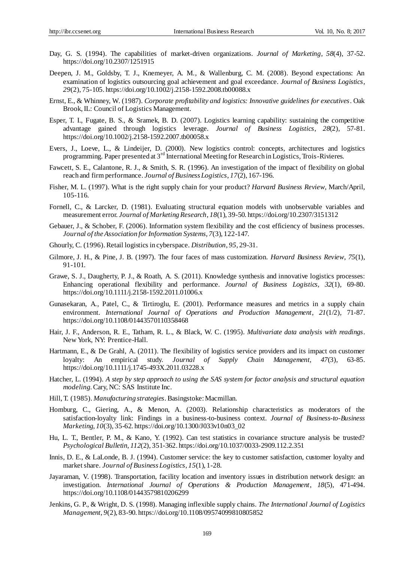- Day, G. S. (1994). The capabilities of market-driven organizations. *Journal of Marketing*, *58*(4), 37-52. https://doi.org/10.2307/1251915
- Deepen, J. M., Goldsby, T. J., Knemeyer, A. M., & Wallenburg, C. M. (2008). Beyond expectations: An examination of logistics outsourcing goal achievement and goal exceedance. *Journal of Business Logistics*, *29*(2), 75-105. https://doi.org/10.1002/j.2158-1592.2008.tb00088.x
- Ernst, E., & Whinney, W. (1987). *Corporate profitability and logistics: Innovative guidelines for executives*. Oak Brook, IL: Council of Logistics Management.
- Esper, T. I., Fugate, B. S., & Sramek, B. D. (2007). Logistics learning capability: sustaining the competitive advantage gained through logistics leverage. *Journal of Business Logistics*, *28*(2), 57-81. https://doi.org/10.1002/j.2158-1592.2007.tb00058.x
- Evers, J., Loeve, L., & Lindeijer, D. (2000). New logistics control: concepts, architectures and logistics programming. Paper presented at 3rd International Meeting for Research in Logistics, Trois-Rivieres.
- Fawcett, S. E., Calantone, R. J., & Smith, S. R. (1996). An investigation of the impact of flexibility on global reach and firm performance. *Journal of Business Logistics*, *17*(2), 167-196.
- Fisher, M. L. (1997). What is the right supply chain for your product? *Harvard Business Review*, March/April, 105-116.
- Fornell, C., & Larcker, D. (1981). Evaluating structural equation models with unobservable variables and measurement error. *Journal of Marketing Research*, *18*(1), 39-50. https://doi.org/10.2307/3151312
- Gebauer, J., & Schober, F. (2006). Information system flexibility and the cost efficiency of business processes. *Journal of the Association for Information Systems*, *7*(3), 122-147.
- Ghourly, C. (1996). Retail logistics in cyberspace. *Distribution*, *95*, 29-31.
- Gilmore, J. H., & Pine, J. B. (1997). The four faces of mass customization. *Harvard Business Review*, *75*(1), 91-101.
- Grawe, S. J., Daugherty, P. J., & Roath, A. S. (2011). Knowledge synthesis and innovative logistics processes: Enhancing operational flexibility and performance. *Journal of Business Logistics, 32*(1), 69-80. https://doi.org/10.1111/j.2158-1592.2011.01006.x
- Gunasekaran, A., Patel, C., & Tirtiroglu, E. (2001). Performance measures and metrics in a supply chain environment. *International Journal of Operations and Production Management*, 21(1/2), 71-87. https://doi.org/10.1108/01443570110358468
- Hair, J. F., Anderson, R. E., Tatham, R. L., & Black, W. C. (1995). *Multivariate data analysis with readings*. New York, NY: Prentice-Hall.
- Hartmann, E., & De Grahl, A. (2011). The flexibility of logistics service providers and its impact on customer loyalty: An empirical study. *Journal of Supply Chain Management, 47*(3), 63-85. https://doi.org/10.1111/j.1745-493X.2011.03228.x
- Hatcher, L. (1994). *A step by step approach to using the SAS system for factor analysis and structural equation modeling*. Cary, NC: SAS Institute Inc.
- Hill, T. (1985). *Manufacturing strategies*.Basingstoke: Macmillan.
- Homburg, C., Giering, A., & Menon, A. (2003). Relationship characteristics as moderators of the satisfaction-loyalty link: Findings in a business-to-business context. *Journal of Business-to-Business Marketing*, *10*(3), 35-62. https://doi.org/10.1300/J033v10n03\_02
- Hu, L. T., Bentler, P. M., & Kano, Y. (1992). Can test statistics in covariance structure analysis be trusted? *Psychological Bulletin*, *112*(2), 351-362. https://doi.org/10.1037/0033-2909.112.2.351
- Innis, D. E., & LaLonde, B. J. (1994). Customer service: the key to customer satisfaction, customer loyalty and market share. *Journal of Business Logistics*, *15*(1), 1-28.
- Jayaraman, V. (1998). Transportation, facility location and inventory issues in distribution network design: an investigation. *International Journal of Operations & Production Management*, *18*(5), 471-494. https://doi.org/10.1108/01443579810206299
- Jenkins, G. P., & Wright, D. S. (1998). Managing inflexible supply chains. *The International Journal of Logistics Management*, *9*(2), 83-90. https://doi.org/10.1108/09574099810805852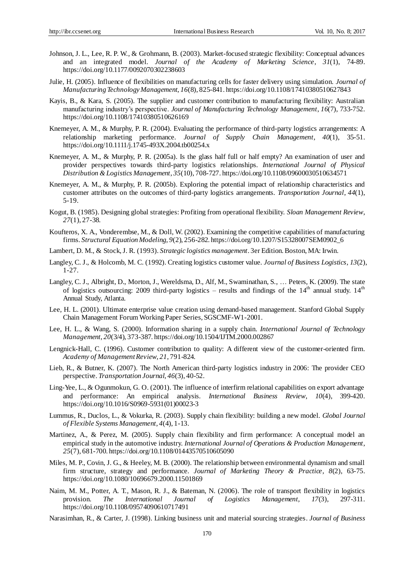- Johnson, J. L., Lee, R. P. W., & Grohmann, B. (2003). Market-focused strategic flexibility: Conceptual advances and an integrated model. *Journal of the Academy of Marketing Science*, *31*(1), 74-89. https://doi.org/10.1177/0092070302238603
- Julie, H. (2005). Influence of flexibilities on manufacturing cells for faster delivery using simulation. *Journal of Manufacturing Technology Management*, *16*(8), 825-841. https://doi.org/10.1108/17410380510627843
- Kayis, B., & Kara, S. (2005). The supplier and customer contribution to manufacturing flexibility: Australian manufacturing industry's perspective. *Journal of Manufacturing Technology Management*, *16*(7), 733-752. https://doi.org/10.1108/17410380510626169
- Knemeyer, A. M., & Murphy, P. R. (2004). Evaluating the performance of third-party logistics arrangements: A relationship marketing performance. *Journal of Supply Chain Management*, *40*(1), 35-51. https://doi.org/10.1111/j.1745-493X.2004.tb00254.x
- Knemeyer, A. M., & Murphy, P. R. (2005a). Is the glass half full or half empty? An examination of user and provider perspectives towards third-party logistics relationships. *International Journal of Physical Distribution & Logistics Management*, *35*(10), 708-727. https://doi.org/10.1108/09600030510634571
- Knemeyer, A. M., & Murphy, P. R. (2005b). Exploring the potential impact of relationship characteristics and customer attributes on the outcomes of third-party logistics arrangements. *Transportation Journal*, *44*(1), 5-19.
- Kogut, B. (1985). Designing global strategies: Profiting from operational flexibility. *Sloan Management Review*, *27*(1), 27-38.
- Koufteros, X. A., Vonderembse, M., & Doll, W. (2002). Examining the competitive capabilities of manufacturing firms. *Structural Equation Modeling*, *9*(2), 256-282. https://doi.org/10.1207/S15328007SEM0902\_6
- Lambert, D. M., & Stock, J. R. (1993). *Strategic logistics management*. 3er Edition. Boston, MA: Irwin.
- Langley, C. J., & Holcomb, M. C. (1992). Creating logistics customer value. *Journal of Business Logistics*, *13*(2), 1-27.
- Langley, C. J., Albright, D., Morton, J., Wereldsma, D., Alf, M., Swaminathan, S., … Peters, K. (2009). The state of logistics outsourcing: 2009 third-party logistics – results and findings of the  $14<sup>th</sup>$  annual study.  $14<sup>th</sup>$ Annual Study, Atlanta.
- Lee, H. L. (2001). Ultimate enterprise value creation using demand-based management. Stanford Global Supply Chain Management Forum Working Paper Series, SGSCMF-W1-2001.
- Lee, H. L., & Wang, S. (2000). Information sharing in a supply chain. *International Journal of Technology Management*, *20*(3/4), 373-387. https://doi.org/10.1504/IJTM.2000.002867
- Lengnick-Hall, C. (1996). Customer contribution to quality: A different view of the customer-oriented firm. *Academy of Management Review*, *21*, 791-824.
- Lieb, R., & Butner, K. (2007). The North American third-party logistics industry in 2006: The provider CEO perspective. *Transportation Journal*, *46*(3), 40-52.
- Ling-Yee, L., & Ogunmokun, G. O. (2001). The influence of interfirm relational capabilities on export advantage and performance: An empirical analysis. *International Business Review*, *10*(4), 399-420. https://doi.org/10.1016/S0969-5931(01)00023-3
- Lummus, R., Duclos, L., & Vokurka, R. (2003). Supply chain flexibility: building a new model. *Global Journal of Flexible Systems Management*, *4*(4), 1-13.
- Martinez, A., & Perez, M. (2005). Supply chain flexibility and firm performance: A conceptual model an empirical study in the automotive industry. *International Journal of Operations & Production Management*, *25*(7), 681-700. https://doi.org/10.1108/01443570510605090
- Miles, M. P., Covin, J. G., & Heeley, M. B. (2000). The relationship between environmental dynamism and small firm structure, strategy and performance. *Journal of Marketing Theory & Practice*, *8*(2), 63-75. https://doi.org/10.1080/10696679.2000.11501869
- Naim, M. M., Potter, A. T., Mason, R. J., & Bateman, N. (2006). The role of transport flexibility in logistics provision. *The International Journal of Logistics Management, 17*(3), 297-311. https://doi.org/10.1108/09574090610717491
- Narasimhan, R., & Carter, J. (1998). Linking business unit and material sourcing strategies*. Journal of Business*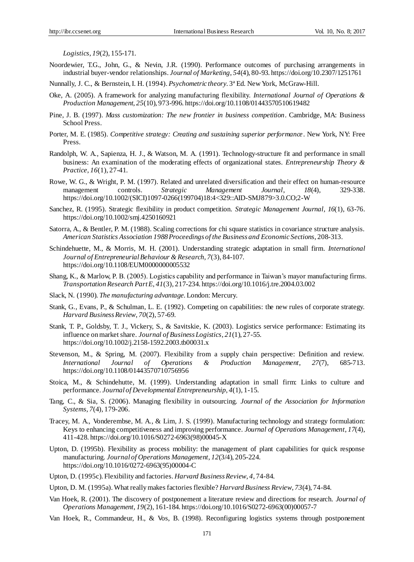*Logistics*, *19*(2), 155-171.

- Noordewier, T.G., John, G., & Nevin, J.R. (1990). Performance outcomes of purchasing arrangements in industrial buyer-vendor relationships. *Journal of Marketing*, *54*(4), 80-93. https://doi.org/10.2307/1251761
- Nunnally, J. C., & Bernstein, I. H. (1994). *Psychometric theory*. 3ª Ed. New York, McGraw-Hill.
- Oke, A. (2005). A framework for analyzing manufacturing flexibility. *International Journal of Operations & Production Management*, *25*(10), 973-996. https://doi.org/10.1108/01443570510619482
- Pine, J. B. (1997). *Mass customization: The new frontier in business competition*. Cambridge, MA: Business School Press.
- Porter, M. E. (1985). *Competitive strategy: Creating and sustaining superior performance*. New York, NY: Free Press.
- Randolph, W. A., Sapienza, H. J., & Watson, M. A. (1991). Technology-structure fit and performance in small business: An examination of the moderating effects of organizational states. *Entrepreneurship Theory & Practice*, *16*(1), 27-41.
- Rowe, W. G., & Wright, P. M. (1997). Related and unrelated diversification and their effect on human-resource management controls. *Strategic Management Journal*, *18*(4), 329-338. https://doi.org/10.1002/(SICI)1097-0266(199704)18:4<329::AID-SMJ879>3.0.CO;2-W
- Sanchez, R. (1995). Strategic flexibility in product competition. *Strategic Management Journal*, *16*(1), 63-76. https://doi.org/10.1002/smj.4250160921
- Satorra, A., & Bentler, P. M. (1988). Scaling corrections for chi square statistics in covariance structure analysis. *American Statistics Association 1988 Proceedings of the Business and Economic Sections*, 208-313.
- Schindehuette, M., & Morris, M. H. (2001). Understanding strategic adaptation in small firm. *International Journal of Entrepreneurial Behaviour & Research*, *7*(3), 84-107. https://doi.org/10.1108/EUM0000000005532
- Shang, K., & Marlow, P. B. (2005). Logistics capability and performance in Taiwan's mayor manufacturing firms. *Transportation Research Part E*, *41*(3), 217-234. https://doi.org/10.1016/j.tre.2004.03.002
- Slack, N. (1990). *The manufacturing advantage*. London: Mercury.
- Stank, G., Evans, P., & Schulman, L. E. (1992). Competing on capabilities: the new rules of corporate strategy. *Harvard Business Review*, *70*(2), 57-69.
- Stank, T. P., Goldsby, T. J., Vickery, S., & Savitskie, K. (2003). Logistics service performance: Estimating its influence on market share. *Journal of Business Logistics*, *21*(1), 27-55. https://doi.org/10.1002/j.2158-1592.2003.tb00031.x
- Stevenson, M., & Spring, M. (2007). Flexibility from a supply chain perspective: Definition and review. *International Journal of Operations & Production Management*, *27*(7), 685-713. https://doi.org/10.1108/01443570710756956
- Stoica, M., & Schindehutte, M. (1999). Understanding adaptation in small firm: Links to culture and performance. *Journal of Developmental Entrepreneurship*, *4*(1), 1-15.
- Tang, C., & Sia, S. (2006). Managing flexibility in outsourcing. *Journal of the Association for Information Systems*, *7*(4), 179-206.
- Tracey, M. A., Vonderembse, M. A., & Lim, J. S. (1999). Manufacturing technology and strategy formulation: Keys to enhancing competitiveness and improving performance. *Journal of Operations Management*, *17*(4), 411-428. https://doi.org/10.1016/S0272-6963(98)00045-X
- Upton, D. (1995b). Flexibility as process mobility: the management of plant capabilities for quick response manufacturing. *Journal of Operations Management*, *12*(3/4), 205-224. https://doi.org/10.1016/0272-6963(95)00004-C
- Upton, D. (1995c). Flexibility and factories. *Harvard Business Review*, *4*, 74-84.
- Upton, D. M. (1995a). What really makes factories flexible? *Harvard Business Review*, *73*(4), 74-84.
- Van Hoek, R. (2001). The discovery of postponement a literature review and directions for research. *Journal of Operations Management*, *19*(2), 161-184. https://doi.org/10.1016/S0272-6963(00)00057-7
- Van Hoek, R., Commandeur, H., & Vos, B. (1998). Reconfiguring logistics systems through postponement